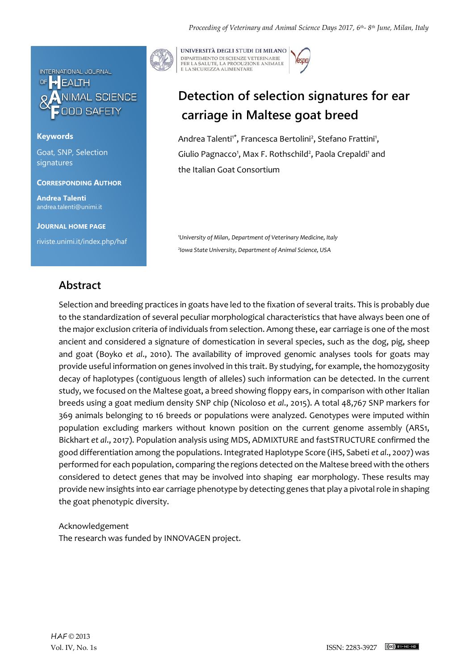

#### **Keywords**

Goat, SNP, Selection signatures

#### **CORRESPONDING AUTHOR**

**Andrea Talenti** andrea.talenti@unimi.it

**JOURNAL HOME PAGE** riviste.unimi.it/index.php/haf



UNIVERSITÀ DEGLI STUDI DI MILANO DIPARTIMENTO DI SCIENZE VETERINARIE PER LA SALUTE, LA PRODUZIONE ANIMALE<br>E LA SICUREZZA ALIMENTARE

# **Detection of selection signatures for ear carriage in Maltese goat breed**

Andrea Talenti<sup>1\*</sup>, Francesca Bertolini<sup>2</sup>, Stefano Frattini<sup>1</sup>, Giulio Pagnacco<sup>1</sup>, Max F. Rothschild<sup>2</sup>, Paola Crepaldi<sup>1</sup> and the Italian Goat Consortium

*<sup>1</sup>University of Milan*, *Department of Veterinary Medicine, Italy 2 Iowa State University, Department of Animal Science, USA* 

## **Abstract**

Selection and breeding practices in goats have led to the fixation of several traits. This is probably due to the standardization of several peculiar morphological characteristics that have always been one of the major exclusion criteria of individuals from selection. Among these, ear carriage is one of the most ancient and considered a signature of domestication in several species, such as the dog, pig, sheep and goat (Boyko *et al*., 2010). The availability of improved genomic analyses tools for goats may provide useful information on genes involved in this trait. By studying, for example, the homozygosity decay of haplotypes (contiguous length of alleles) such information can be detected. In the current study, we focused on the Maltese goat, a breed showing floppy ears, in comparison with other Italian breeds using a goat medium density SNP chip (Nicoloso *et al*., 2015). A total 48,767 SNP markers for 369 animals belonging to 16 breeds or populations were analyzed. Genotypes were imputed within population excluding markers without known position on the current genome assembly (ARS1, Bickhart *et al*., 2017). Population analysis using MDS, ADMIXTURE and fastSTRUCTURE confirmed the good differentiation among the populations. Integrated Haplotype Score (iHS, Sabeti *et al*., 2007) was performed for each population, comparing the regions detected on the Maltese breed with the others considered to detect genes that may be involved into shaping ear morphology. These results may provide new insights into ear carriage phenotype by detecting genes that play a pivotal role in shaping the goat phenotypic diversity.

### Acknowledgement The research was funded by INNOVAGEN project.